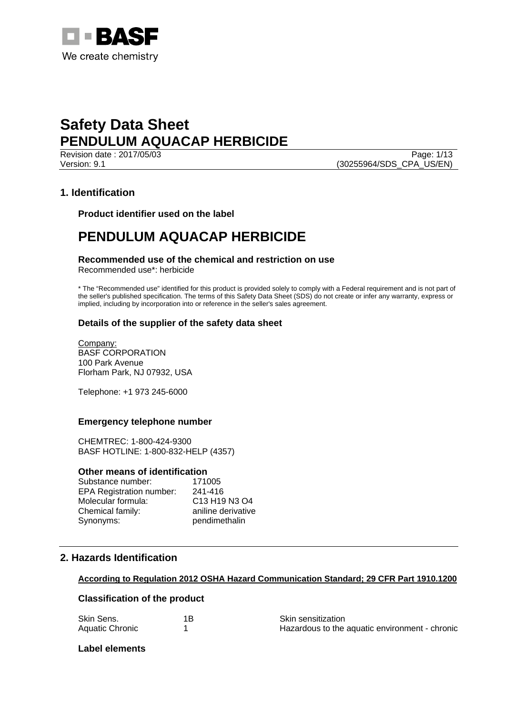

Revision date : 2017/05/03 Version: 9.1 (30255964/SDS\_CPA\_US/EN)

### **1. Identification**

**Product identifier used on the label** 

## **PENDULUM AQUACAP HERBICIDE**

## **Recommended use of the chemical and restriction on use**

Recommended use\*: herbicide

\* The "Recommended use" identified for this product is provided solely to comply with a Federal requirement and is not part of the seller's published specification. The terms of this Safety Data Sheet (SDS) do not create or infer any warranty, express or implied, including by incorporation into or reference in the seller's sales agreement.

### **Details of the supplier of the safety data sheet**

Company: BASF CORPORATION 100 Park Avenue Florham Park, NJ 07932, USA

Telephone: +1 973 245-6000

#### **Emergency telephone number**

CHEMTREC: 1-800-424-9300 BASF HOTLINE: 1-800-832-HELP (4357)

#### **Other means of identification**

| Substance number:               | 171005             |
|---------------------------------|--------------------|
| <b>EPA Registration number:</b> | 241-416            |
| Molecular formula:              | C13 H19 N3 O4      |
| Chemical family:                | aniline derivative |
| Synonyms:                       | pendimethalin      |

## **2. Hazards Identification**

#### **According to Regulation 2012 OSHA Hazard Communication Standard; 29 CFR Part 1910.1200**

#### **Classification of the product**

| Skin Sens.      | Skin sensitization                             |
|-----------------|------------------------------------------------|
| Aquatic Chronic | Hazardous to the aquatic environment - chronic |

#### **Label elements**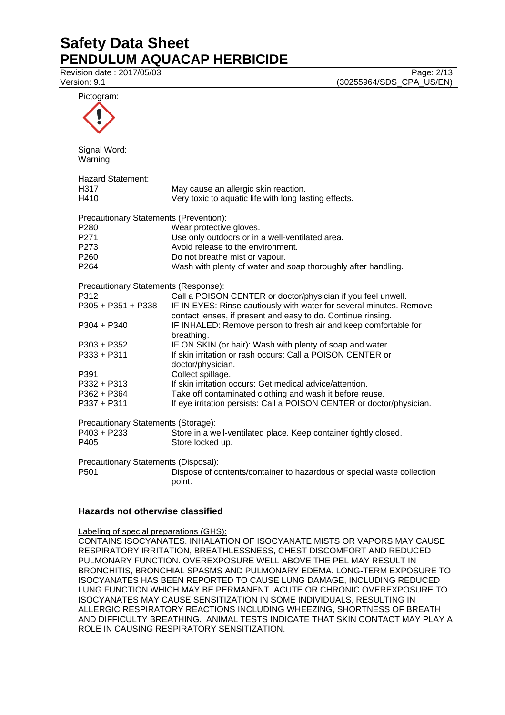Revision date : 2017/05/03 Page: 2/13

| Version: 9.1                           | (30255964/SDS_CPA_US/EN)                                               |
|----------------------------------------|------------------------------------------------------------------------|
| Pictogram:                             |                                                                        |
|                                        |                                                                        |
| Signal Word:                           |                                                                        |
| Warning                                |                                                                        |
| <b>Hazard Statement:</b>               |                                                                        |
| H317                                   | May cause an allergic skin reaction.                                   |
| H410                                   | Very toxic to aquatic life with long lasting effects.                  |
| Precautionary Statements (Prevention): |                                                                        |
| P280                                   | Wear protective gloves.                                                |
| P271                                   | Use only outdoors or in a well-ventilated area.                        |
| P273                                   | Avoid release to the environment.                                      |
| P <sub>260</sub>                       | Do not breathe mist or vapour.                                         |
| P <sub>264</sub>                       | Wash with plenty of water and soap thoroughly after handling.          |
| Precautionary Statements (Response):   |                                                                        |
| P312                                   | Call a POISON CENTER or doctor/physician if you feel unwell.           |
| P305 + P351 + P338                     | IF IN EYES: Rinse cautiously with water for several minutes. Remove    |
|                                        | contact lenses, if present and easy to do. Continue rinsing.           |
| P304 + P340                            | IF INHALED: Remove person to fresh air and keep comfortable for        |
|                                        | breathing.                                                             |
| P303 + P352                            | IF ON SKIN (or hair): Wash with plenty of soap and water.              |
| P333 + P311                            | If skin irritation or rash occurs: Call a POISON CENTER or             |
|                                        | doctor/physician.                                                      |
| P391                                   | Collect spillage.                                                      |
| P332 + P313                            | If skin irritation occurs: Get medical advice/attention.               |
| P362 + P364                            | Take off contaminated clothing and wash it before reuse.               |
| P337 + P311                            | If eye irritation persists: Call a POISON CENTER or doctor/physician.  |
| Precautionary Statements (Storage):    |                                                                        |
| P403 + P233                            | Store in a well-ventilated place. Keep container tightly closed.       |
| P405                                   | Store locked up.                                                       |
| Precautionary Statements (Disposal):   |                                                                        |
| D501                                   | Dispose of contents/container to hazardous or special waste collection |

P501 Dispose of contents/container to hazardous or special waste collection point.

#### **Hazards not otherwise classified**

Labeling of special preparations (GHS):

CONTAINS ISOCYANATES. INHALATION OF ISOCYANATE MISTS OR VAPORS MAY CAUSE RESPIRATORY IRRITATION, BREATHLESSNESS, CHEST DISCOMFORT AND REDUCED PULMONARY FUNCTION. OVEREXPOSURE WELL ABOVE THE PEL MAY RESULT IN BRONCHITIS, BRONCHIAL SPASMS AND PULMONARY EDEMA. LONG-TERM EXPOSURE TO ISOCYANATES HAS BEEN REPORTED TO CAUSE LUNG DAMAGE, INCLUDING REDUCED LUNG FUNCTION WHICH MAY BE PERMANENT. ACUTE OR CHRONIC OVEREXPOSURE TO ISOCYANATES MAY CAUSE SENSITIZATION IN SOME INDIVIDUALS, RESULTING IN ALLERGIC RESPIRATORY REACTIONS INCLUDING WHEEZING, SHORTNESS OF BREATH AND DIFFICULTY BREATHING. ANIMAL TESTS INDICATE THAT SKIN CONTACT MAY PLAY A ROLE IN CAUSING RESPIRATORY SENSITIZATION.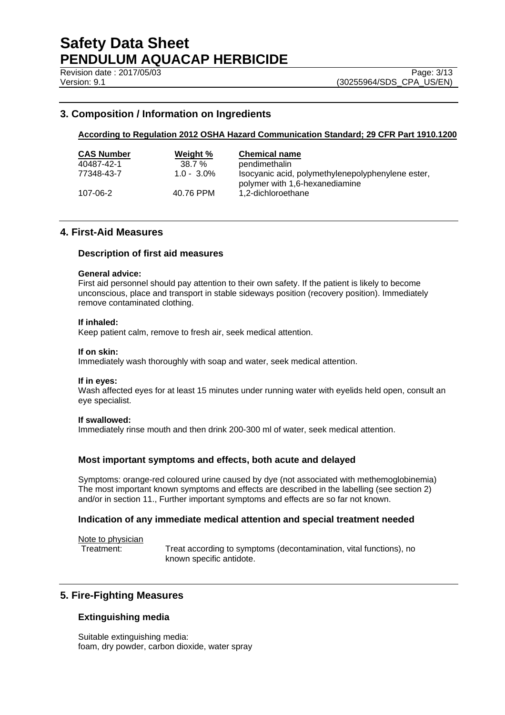### **3. Composition / Information on Ingredients**

#### **According to Regulation 2012 OSHA Hazard Communication Standard; 29 CFR Part 1910.1200**

| <b>CAS Number</b> | Weight %      | <b>Chemical name</b>                                                                |
|-------------------|---------------|-------------------------------------------------------------------------------------|
| 40487-42-1        | $38.7 \%$     | pendimethalin                                                                       |
| 77348-43-7        | $1.0 - 3.0\%$ | Isocyanic acid, polymethylenepolyphenylene ester,<br>polymer with 1,6-hexanediamine |
| 107-06-2          | 40.76 PPM     | 1,2-dichloroethane                                                                  |

#### **4. First-Aid Measures**

#### **Description of first aid measures**

#### **General advice:**

First aid personnel should pay attention to their own safety. If the patient is likely to become unconscious, place and transport in stable sideways position (recovery position). Immediately remove contaminated clothing.

#### **If inhaled:**

Keep patient calm, remove to fresh air, seek medical attention.

#### **If on skin:**

Immediately wash thoroughly with soap and water, seek medical attention.

#### **If in eyes:**

Wash affected eyes for at least 15 minutes under running water with eyelids held open, consult an eye specialist.

#### **If swallowed:**

Immediately rinse mouth and then drink 200-300 ml of water, seek medical attention.

#### **Most important symptoms and effects, both acute and delayed**

Symptoms: orange-red coloured urine caused by dye (not associated with methemoglobinemia) The most important known symptoms and effects are described in the labelling (see section 2) and/or in section 11., Further important symptoms and effects are so far not known.

#### **Indication of any immediate medical attention and special treatment needed**

Note to physician

Treatment: Treat according to symptoms (decontamination, vital functions), no known specific antidote.

### **5. Fire-Fighting Measures**

#### **Extinguishing media**

Suitable extinguishing media: foam, dry powder, carbon dioxide, water spray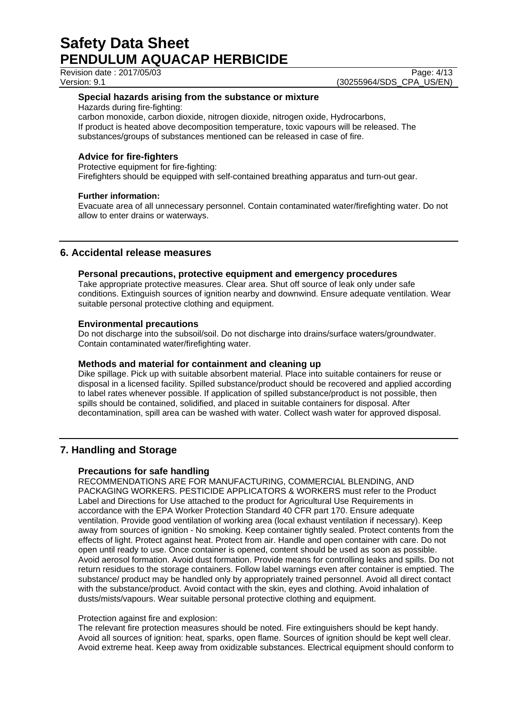Revision date : 2017/05/03

Version: 9.1 (30255964/SDS\_CPA\_US/EN)

#### **Special hazards arising from the substance or mixture**

Hazards during fire-fighting:

carbon monoxide, carbon dioxide, nitrogen dioxide, nitrogen oxide, Hydrocarbons, If product is heated above decomposition temperature, toxic vapours will be released. The substances/groups of substances mentioned can be released in case of fire.

### **Advice for fire-fighters**

Protective equipment for fire-fighting: Firefighters should be equipped with self-contained breathing apparatus and turn-out gear.

#### **Further information:**

Evacuate area of all unnecessary personnel. Contain contaminated water/firefighting water. Do not allow to enter drains or waterways.

## **6. Accidental release measures**

#### **Personal precautions, protective equipment and emergency procedures**

Take appropriate protective measures. Clear area. Shut off source of leak only under safe conditions. Extinguish sources of ignition nearby and downwind. Ensure adequate ventilation. Wear suitable personal protective clothing and equipment.

#### **Environmental precautions**

Do not discharge into the subsoil/soil. Do not discharge into drains/surface waters/groundwater. Contain contaminated water/firefighting water.

#### **Methods and material for containment and cleaning up**

Dike spillage. Pick up with suitable absorbent material. Place into suitable containers for reuse or disposal in a licensed facility. Spilled substance/product should be recovered and applied according to label rates whenever possible. If application of spilled substance/product is not possible, then spills should be contained, solidified, and placed in suitable containers for disposal. After decontamination, spill area can be washed with water. Collect wash water for approved disposal.

### **7. Handling and Storage**

#### **Precautions for safe handling**

RECOMMENDATIONS ARE FOR MANUFACTURING, COMMERCIAL BLENDING, AND PACKAGING WORKERS. PESTICIDE APPLICATORS & WORKERS must refer to the Product Label and Directions for Use attached to the product for Agricultural Use Requirements in accordance with the EPA Worker Protection Standard 40 CFR part 170. Ensure adequate ventilation. Provide good ventilation of working area (local exhaust ventilation if necessary). Keep away from sources of ignition - No smoking. Keep container tightly sealed. Protect contents from the effects of light. Protect against heat. Protect from air. Handle and open container with care. Do not open until ready to use. Once container is opened, content should be used as soon as possible. Avoid aerosol formation. Avoid dust formation. Provide means for controlling leaks and spills. Do not return residues to the storage containers. Follow label warnings even after container is emptied. The substance/ product may be handled only by appropriately trained personnel. Avoid all direct contact with the substance/product. Avoid contact with the skin, eyes and clothing. Avoid inhalation of dusts/mists/vapours. Wear suitable personal protective clothing and equipment.

#### Protection against fire and explosion:

The relevant fire protection measures should be noted. Fire extinguishers should be kept handy. Avoid all sources of ignition: heat, sparks, open flame. Sources of ignition should be kept well clear. Avoid extreme heat. Keep away from oxidizable substances. Electrical equipment should conform to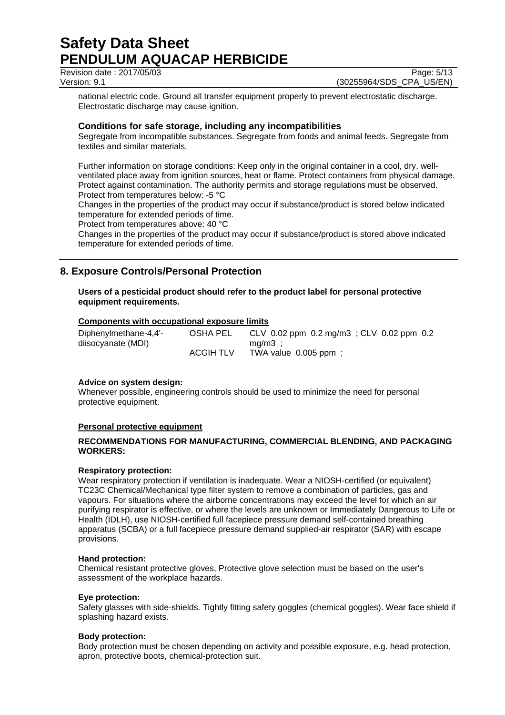Revision date : 2017/05/03 Page: 5/13

Version: 9.1 (30255964/SDS\_CPA\_US/EN)

national electric code. Ground all transfer equipment properly to prevent electrostatic discharge. Electrostatic discharge may cause ignition.

#### **Conditions for safe storage, including any incompatibilities**

Segregate from incompatible substances. Segregate from foods and animal feeds. Segregate from textiles and similar materials.

Further information on storage conditions: Keep only in the original container in a cool, dry, wellventilated place away from ignition sources, heat or flame. Protect containers from physical damage. Protect against contamination. The authority permits and storage regulations must be observed. Protect from temperatures below: -5 °C

Changes in the properties of the product may occur if substance/product is stored below indicated temperature for extended periods of time.

Protect from temperatures above: 40 °C

Changes in the properties of the product may occur if substance/product is stored above indicated temperature for extended periods of time.

## **8. Exposure Controls/Personal Protection**

**Users of a pesticidal product should refer to the product label for personal protective equipment requirements.** 

#### **Components with occupational exposure limits**

| Diphenylmethane-4,4'- | OSHA PEL         | CLV 0.02 ppm $0.2 \text{ mg/m3}$ ; CLV 0.02 ppm 0.2 |
|-----------------------|------------------|-----------------------------------------------------|
| diisocyanate (MDI)    |                  | ma/m3 :                                             |
|                       | <b>ACGIH TLV</b> | TWA value $0.005$ ppm;                              |

#### **Advice on system design:**

Whenever possible, engineering controls should be used to minimize the need for personal protective equipment.

#### **Personal protective equipment**

#### **RECOMMENDATIONS FOR MANUFACTURING, COMMERCIAL BLENDING, AND PACKAGING WORKERS:**

#### **Respiratory protection:**

Wear respiratory protection if ventilation is inadequate. Wear a NIOSH-certified (or equivalent) TC23C Chemical/Mechanical type filter system to remove a combination of particles, gas and vapours. For situations where the airborne concentrations may exceed the level for which an air purifying respirator is effective, or where the levels are unknown or Immediately Dangerous to Life or Health (IDLH), use NIOSH-certified full facepiece pressure demand self-contained breathing apparatus (SCBA) or a full facepiece pressure demand supplied-air respirator (SAR) with escape provisions.

#### **Hand protection:**

Chemical resistant protective gloves, Protective glove selection must be based on the user's assessment of the workplace hazards.

#### **Eye protection:**

Safety glasses with side-shields. Tightly fitting safety goggles (chemical goggles). Wear face shield if splashing hazard exists.

#### **Body protection:**

Body protection must be chosen depending on activity and possible exposure, e.g. head protection, apron, protective boots, chemical-protection suit.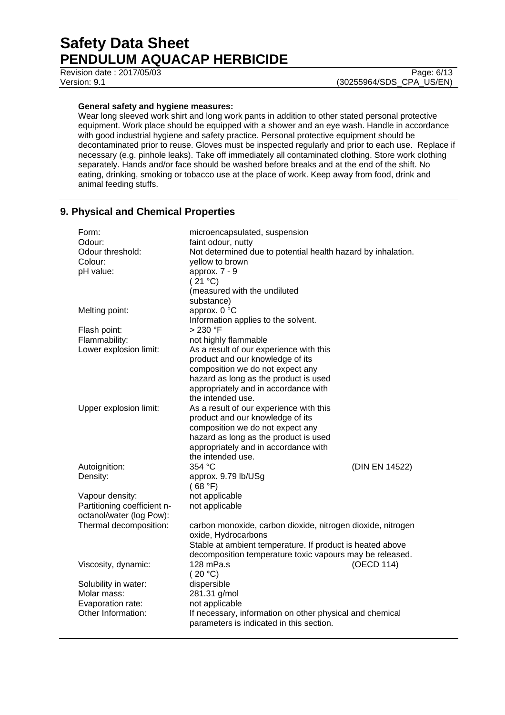Revision date : 2017/05/03 Page: 6/13

Version: 9.1 (30255964/SDS\_CPA\_US/EN)

### **General safety and hygiene measures:**

Wear long sleeved work shirt and long work pants in addition to other stated personal protective equipment. Work place should be equipped with a shower and an eye wash. Handle in accordance with good industrial hygiene and safety practice. Personal protective equipment should be decontaminated prior to reuse. Gloves must be inspected regularly and prior to each use. Replace if necessary (e.g. pinhole leaks). Take off immediately all contaminated clothing. Store work clothing separately. Hands and/or face should be washed before breaks and at the end of the shift. No eating, drinking, smoking or tobacco use at the place of work. Keep away from food, drink and animal feeding stuffs.

### **9. Physical and Chemical Properties**

| Form:                                              | microencapsulated, suspension                                                      |                |
|----------------------------------------------------|------------------------------------------------------------------------------------|----------------|
| Odour:<br>Odour threshold:                         | faint odour, nutty<br>Not determined due to potential health hazard by inhalation. |                |
| Colour:                                            | yellow to brown                                                                    |                |
| pH value:                                          | approx. 7 - 9                                                                      |                |
|                                                    | (21 °C)                                                                            |                |
|                                                    | (measured with the undiluted                                                       |                |
|                                                    | substance)                                                                         |                |
| Melting point:                                     | approx. 0 °C                                                                       |                |
|                                                    | Information applies to the solvent.                                                |                |
| Flash point:                                       | > 230 °F                                                                           |                |
| Flammability:                                      | not highly flammable                                                               |                |
| Lower explosion limit:                             | As a result of our experience with this                                            |                |
|                                                    | product and our knowledge of its                                                   |                |
|                                                    | composition we do not expect any                                                   |                |
|                                                    | hazard as long as the product is used<br>appropriately and in accordance with      |                |
|                                                    | the intended use.                                                                  |                |
| Upper explosion limit:                             | As a result of our experience with this                                            |                |
|                                                    | product and our knowledge of its                                                   |                |
|                                                    | composition we do not expect any                                                   |                |
|                                                    | hazard as long as the product is used                                              |                |
|                                                    | appropriately and in accordance with                                               |                |
|                                                    | the intended use.                                                                  |                |
| Autoignition:                                      | 354 °C                                                                             | (DIN EN 14522) |
| Density:                                           | approx. 9.79 lb/USg                                                                |                |
|                                                    | (68 °F)                                                                            |                |
| Vapour density:                                    | not applicable                                                                     |                |
| Partitioning coefficient n-                        | not applicable                                                                     |                |
| octanol/water (log Pow):<br>Thermal decomposition: | carbon monoxide, carbon dioxide, nitrogen dioxide, nitrogen                        |                |
|                                                    | oxide, Hydrocarbons                                                                |                |
|                                                    | Stable at ambient temperature. If product is heated above                          |                |
|                                                    | decomposition temperature toxic vapours may be released.                           |                |
| Viscosity, dynamic:                                | 128 mPa.s                                                                          | (OECD 114)     |
|                                                    | (20 °C)                                                                            |                |
| Solubility in water:                               | dispersible                                                                        |                |
| Molar mass:                                        | 281.31 g/mol                                                                       |                |
| Evaporation rate:                                  | not applicable                                                                     |                |
| Other Information:                                 | If necessary, information on other physical and chemical                           |                |
|                                                    | parameters is indicated in this section.                                           |                |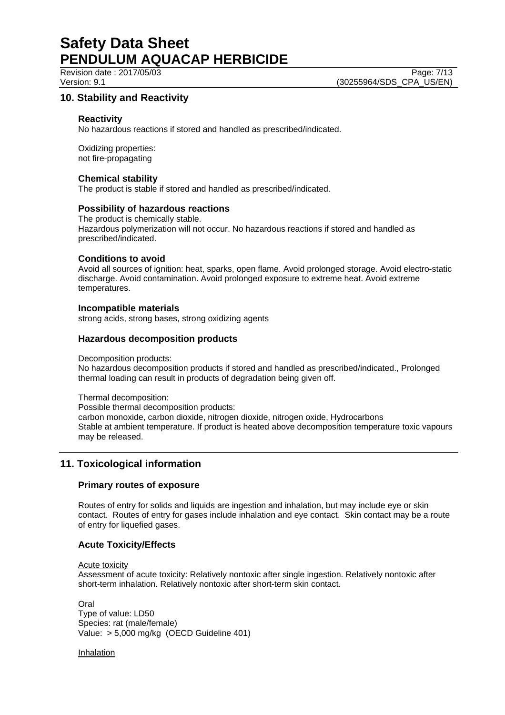Revision date : 2017/05/03 Page: 7/13

Version: 9.1 (30255964/SDS\_CPA\_US/EN)

### **10. Stability and Reactivity**

#### **Reactivity**

No hazardous reactions if stored and handled as prescribed/indicated.

Oxidizing properties: not fire-propagating

#### **Chemical stability**

The product is stable if stored and handled as prescribed/indicated.

#### **Possibility of hazardous reactions**

The product is chemically stable. Hazardous polymerization will not occur. No hazardous reactions if stored and handled as prescribed/indicated.

#### **Conditions to avoid**

Avoid all sources of ignition: heat, sparks, open flame. Avoid prolonged storage. Avoid electro-static discharge. Avoid contamination. Avoid prolonged exposure to extreme heat. Avoid extreme temperatures.

#### **Incompatible materials**

strong acids, strong bases, strong oxidizing agents

#### **Hazardous decomposition products**

Decomposition products:

No hazardous decomposition products if stored and handled as prescribed/indicated., Prolonged thermal loading can result in products of degradation being given off.

Thermal decomposition: Possible thermal decomposition products: carbon monoxide, carbon dioxide, nitrogen dioxide, nitrogen oxide, Hydrocarbons Stable at ambient temperature. If product is heated above decomposition temperature toxic vapours may be released.

### **11. Toxicological information**

#### **Primary routes of exposure**

Routes of entry for solids and liquids are ingestion and inhalation, but may include eye or skin contact. Routes of entry for gases include inhalation and eye contact. Skin contact may be a route of entry for liquefied gases.

#### **Acute Toxicity/Effects**

Acute toxicity

Assessment of acute toxicity: Relatively nontoxic after single ingestion. Relatively nontoxic after short-term inhalation. Relatively nontoxic after short-term skin contact.

Oral Type of value: LD50 Species: rat (male/female) Value: > 5,000 mg/kg (OECD Guideline 401)

Inhalation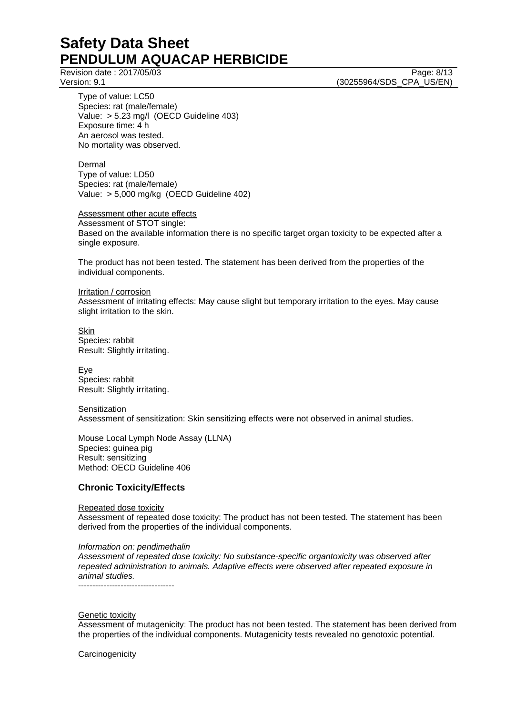Revision date : 2017/05/03 Page: 8/13

Version: 9.1 (30255964/SDS\_CPA\_US/EN)

Type of value: LC50 Species: rat (male/female) Value: > 5.23 mg/l (OECD Guideline 403) Exposure time: 4 h An aerosol was tested. No mortality was observed.

Dermal Type of value: LD50 Species: rat (male/female) Value: > 5,000 mg/kg (OECD Guideline 402)

Assessment other acute effects Assessment of STOT single: Based on the available information there is no specific target organ toxicity to be expected after a single exposure.

The product has not been tested. The statement has been derived from the properties of the individual components.

#### Irritation / corrosion

Assessment of irritating effects: May cause slight but temporary irritation to the eyes. May cause slight irritation to the skin.

Skin Species: rabbit Result: Slightly irritating.

Eye Species: rabbit Result: Slightly irritating.

**Sensitization** Assessment of sensitization: Skin sensitizing effects were not observed in animal studies.

Mouse Local Lymph Node Assay (LLNA) Species: guinea pig Result: sensitizing Method: OECD Guideline 406

#### **Chronic Toxicity/Effects**

#### Repeated dose toxicity

Assessment of repeated dose toxicity: The product has not been tested. The statement has been derived from the properties of the individual components.

*Information on: pendimethalin* 

*Assessment of repeated dose toxicity: No substance-specific organtoxicity was observed after repeated administration to animals. Adaptive effects were observed after repeated exposure in animal studies.* 

----------------------------------

#### **Genetic toxicity**

Assessment of mutagenicity: The product has not been tested. The statement has been derived from the properties of the individual components. Mutagenicity tests revealed no genotoxic potential.

**Carcinogenicity**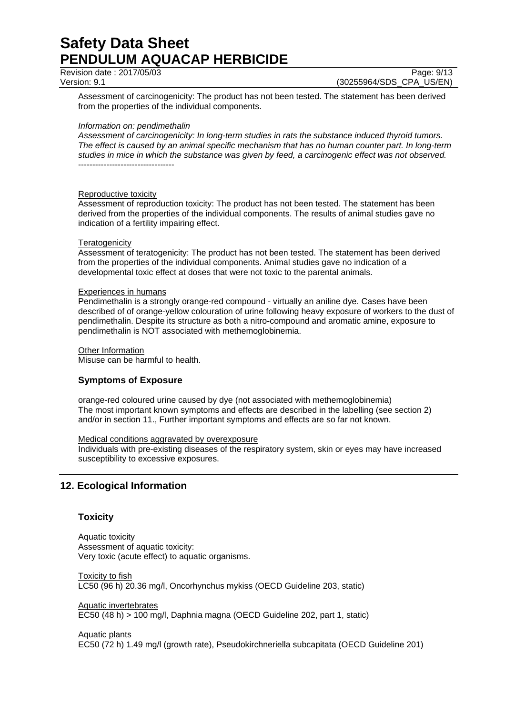Revision date : 2017/05/03 Page: 9/13

Assessment of carcinogenicity: The product has not been tested. The statement has been derived from the properties of the individual components.

#### *Information on: pendimethalin*

*Assessment of carcinogenicity: In long-term studies in rats the substance induced thyroid tumors. The effect is caused by an animal specific mechanism that has no human counter part. In long-term studies in mice in which the substance was given by feed, a carcinogenic effect was not observed.*  ----------------------------------

#### Reproductive toxicity

Assessment of reproduction toxicity: The product has not been tested. The statement has been derived from the properties of the individual components. The results of animal studies gave no indication of a fertility impairing effect.

#### **Teratogenicity**

Assessment of teratogenicity: The product has not been tested. The statement has been derived from the properties of the individual components. Animal studies gave no indication of a developmental toxic effect at doses that were not toxic to the parental animals.

#### Experiences in humans

Pendimethalin is a strongly orange-red compound - virtually an aniline dye. Cases have been described of of orange-yellow colouration of urine following heavy exposure of workers to the dust of pendimethalin. Despite its structure as both a nitro-compound and aromatic amine, exposure to pendimethalin is NOT associated with methemoglobinemia.

Other Information

Misuse can be harmful to health.

### **Symptoms of Exposure**

orange-red coloured urine caused by dye (not associated with methemoglobinemia) The most important known symptoms and effects are described in the labelling (see section 2) and/or in section 11., Further important symptoms and effects are so far not known.

#### Medical conditions aggravated by overexposure

Individuals with pre-existing diseases of the respiratory system, skin or eyes may have increased susceptibility to excessive exposures.

## **12. Ecological Information**

#### **Toxicity**

Aquatic toxicity Assessment of aquatic toxicity: Very toxic (acute effect) to aquatic organisms.

Toxicity to fish LC50 (96 h) 20.36 mg/l, Oncorhynchus mykiss (OECD Guideline 203, static)

Aquatic invertebrates EC50 (48 h) > 100 mg/l, Daphnia magna (OECD Guideline 202, part 1, static)

Aquatic plants EC50 (72 h) 1.49 mg/l (growth rate), Pseudokirchneriella subcapitata (OECD Guideline 201)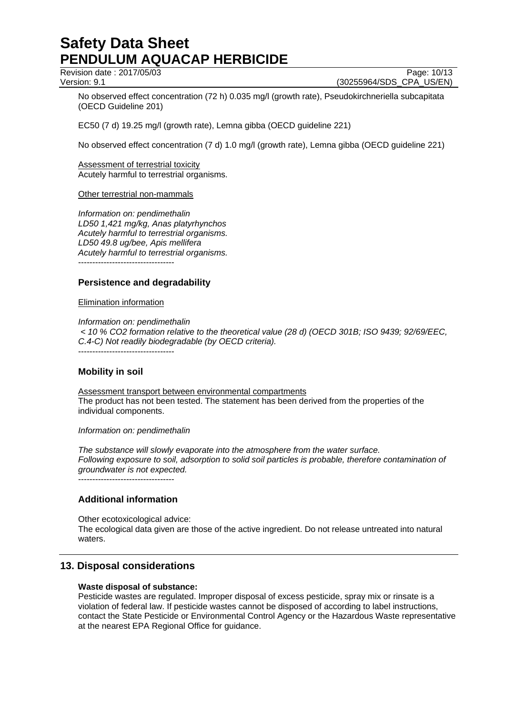Revision date : 2017/05/03 Page: 10/13

Version: 9.1 (30255964/SDS\_CPA\_US/EN)

No observed effect concentration (72 h) 0.035 mg/l (growth rate), Pseudokirchneriella subcapitata (OECD Guideline 201)

EC50 (7 d) 19.25 mg/l (growth rate), Lemna gibba (OECD guideline 221)

No observed effect concentration (7 d) 1.0 mg/l (growth rate), Lemna gibba (OECD guideline 221)

Assessment of terrestrial toxicity Acutely harmful to terrestrial organisms.

#### Other terrestrial non-mammals

*Information on: pendimethalin LD50 1,421 mg/kg, Anas platyrhynchos Acutely harmful to terrestrial organisms. LD50 49.8 ug/bee, Apis mellifera Acutely harmful to terrestrial organisms.*  ----------------------------------

#### **Persistence and degradability**

Elimination information

*Information on: pendimethalin* 

 *< 10 % CO2 formation relative to the theoretical value (28 d) (OECD 301B; ISO 9439; 92/69/EEC, C.4-C) Not readily biodegradable (by OECD criteria).* 

----------------------------------

#### **Mobility in soil**

Assessment transport between environmental compartments The product has not been tested. The statement has been derived from the properties of the individual components.

#### *Information on: pendimethalin*

*The substance will slowly evaporate into the atmosphere from the water surface. Following exposure to soil, adsorption to solid soil particles is probable, therefore contamination of groundwater is not expected.*

----------------------------------

#### **Additional information**

Other ecotoxicological advice: The ecological data given are those of the active ingredient. Do not release untreated into natural waters.

#### **13. Disposal considerations**

#### **Waste disposal of substance:**

Pesticide wastes are regulated. Improper disposal of excess pesticide, spray mix or rinsate is a violation of federal law. If pesticide wastes cannot be disposed of according to label instructions, contact the State Pesticide or Environmental Control Agency or the Hazardous Waste representative at the nearest EPA Regional Office for guidance.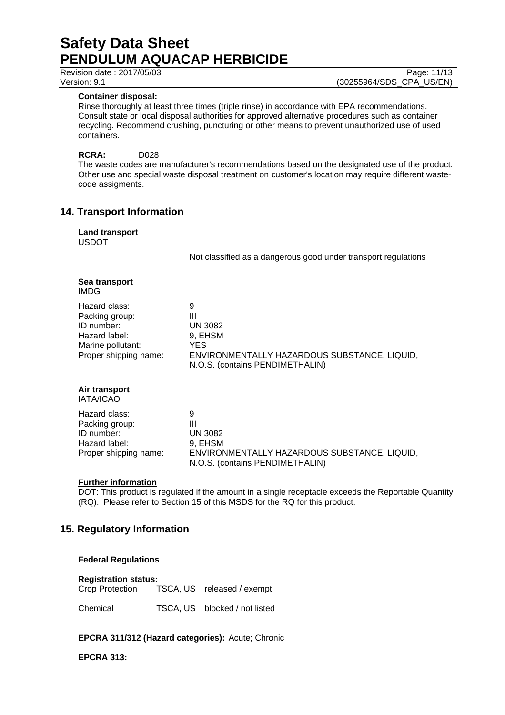**Container disposal:** 

Rinse thoroughly at least three times (triple rinse) in accordance with EPA recommendations. Consult state or local disposal authorities for approved alternative procedures such as container recycling. Recommend crushing, puncturing or other means to prevent unauthorized use of used containers.

#### **RCRA:** D028

The waste codes are manufacturer's recommendations based on the designated use of the product. Other use and special waste disposal treatment on customer's location may require different wastecode assigments.

### **14. Transport Information**

**Land transport**  USDOT

Not classified as a dangerous good under transport regulations

| Sea transport<br>IMDG                                                                                        |                                                                                                                         |
|--------------------------------------------------------------------------------------------------------------|-------------------------------------------------------------------------------------------------------------------------|
| Hazard class:<br>Packing group:<br>ID number:<br>Hazard label:<br>Marine pollutant:<br>Proper shipping name: | 9<br>Ш<br>UN 3082<br>9, EHSM<br>YES.<br>ENVIRONMENTALLY HAZARDOUS SUBSTANCE, LIQUID,<br>N.O.S. (contains PENDIMETHALIN) |
| Air transport<br><b>IATA/ICAO</b>                                                                            |                                                                                                                         |
| Hazard class:<br>Packing group:<br>ID number:<br>Hazard label:<br>Proper shipping name:                      | 9<br>Ш<br><b>UN 3082</b><br>9, EHSM<br>ENVIRONMENTALLY HAZARDOUS SUBSTANCE, LIQUID,<br>N.O.S. (contains PENDIMETHALIN)  |

#### **Further information**

DOT: This product is regulated if the amount in a single receptacle exceeds the Reportable Quantity (RQ). Please refer to Section 15 of this MSDS for the RQ for this product.

#### **15. Regulatory Information**

#### **Federal Regulations**

# **Registration status:**

TSCA, US released / exempt

Chemical TSCA, US blocked / not listed

#### **EPCRA 311/312 (Hazard categories):** Acute; Chronic

**EPCRA 313:** 

Revision date : 2017/05/03 Version: 9.1 (30255964/SDS\_CPA\_US/EN)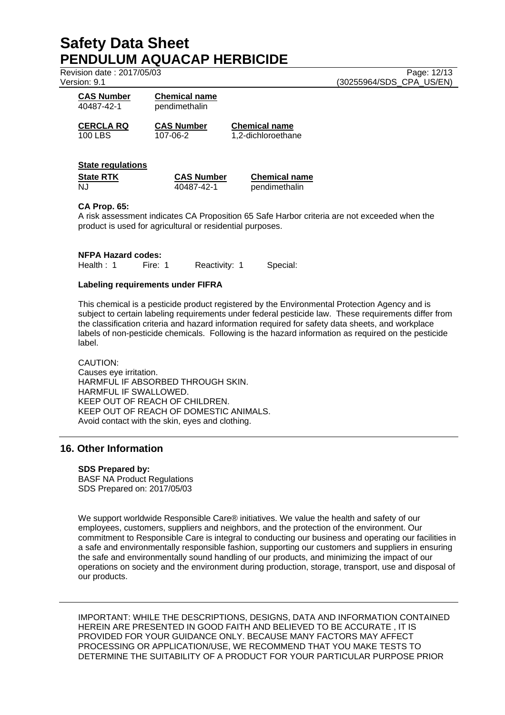Revision date : 2017/05/03 Page: 12/13

Version: 9.1 (30255964/SDS\_CPA\_US/EN)

| <b>CAS Number</b><br>40487-42-1 | <b>Chemical name</b><br>pendimethalin |  |
|---------------------------------|---------------------------------------|--|
| CERCLA RQ                       | <b>CAS Number</b>                     |  |
| 100 LBS                         | 107-06-2                              |  |

**Chemical name** 1,2-dichloroethane

#### **State regulations**

| State RTK | <b>CAS Number</b> | <b>Chemical name</b> |
|-----------|-------------------|----------------------|
| NJ        | 40487-42-1        | pendimethalin        |

#### **CA Prop. 65:**

A risk assessment indicates CA Proposition 65 Safe Harbor criteria are not exceeded when the product is used for agricultural or residential purposes.

**NFPA Hazard codes:** Health : 1 Fire: 1 Reactivity: 1 Special:

#### **Labeling requirements under FIFRA**

This chemical is a pesticide product registered by the Environmental Protection Agency and is subject to certain labeling requirements under federal pesticide law. These requirements differ from the classification criteria and hazard information required for safety data sheets, and workplace labels of non-pesticide chemicals. Following is the hazard information as required on the pesticide label.

CAUTION: Causes eye irritation. HARMFUL IF ABSORBED THROUGH SKIN. HARMFUL IF SWALLOWED. KEEP OUT OF REACH OF CHILDREN. KEEP OUT OF REACH OF DOMESTIC ANIMALS. Avoid contact with the skin, eyes and clothing.

### **16. Other Information**

#### **SDS Prepared by:**

BASF NA Product Regulations SDS Prepared on: 2017/05/03

We support worldwide Responsible Care® initiatives. We value the health and safety of our employees, customers, suppliers and neighbors, and the protection of the environment. Our commitment to Responsible Care is integral to conducting our business and operating our facilities in a safe and environmentally responsible fashion, supporting our customers and suppliers in ensuring the safe and environmentally sound handling of our products, and minimizing the impact of our operations on society and the environment during production, storage, transport, use and disposal of our products.

IMPORTANT: WHILE THE DESCRIPTIONS, DESIGNS, DATA AND INFORMATION CONTAINED HEREIN ARE PRESENTED IN GOOD FAITH AND BELIEVED TO BE ACCURATE , IT IS PROVIDED FOR YOUR GUIDANCE ONLY. BECAUSE MANY FACTORS MAY AFFECT PROCESSING OR APPLICATION/USE, WE RECOMMEND THAT YOU MAKE TESTS TO DETERMINE THE SUITABILITY OF A PRODUCT FOR YOUR PARTICULAR PURPOSE PRIOR